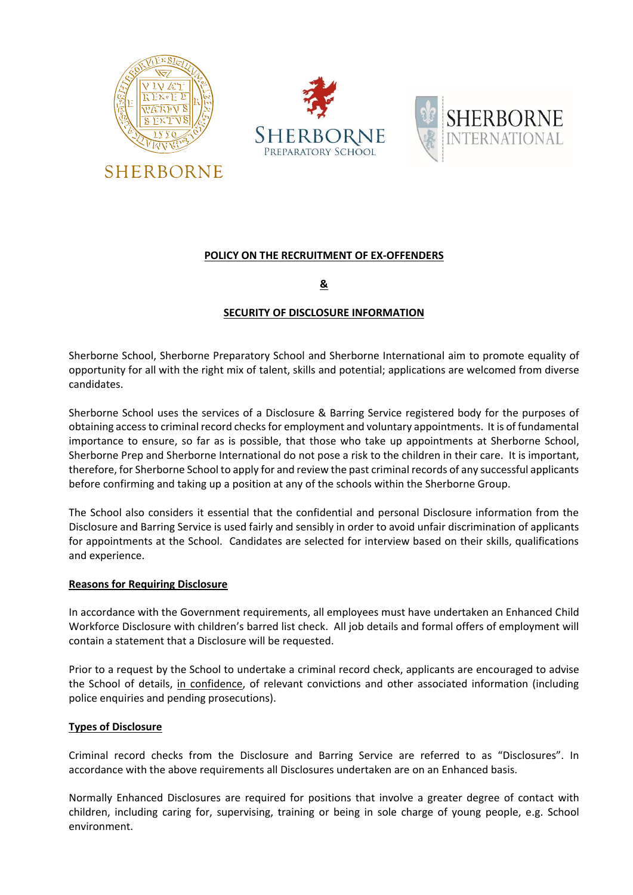





## **POLICY ON THE RECRUITMENT OF EX-OFFENDERS**

# **&**

## **SECURITY OF DISCLOSURE INFORMATION**

Sherborne School, Sherborne Preparatory School and Sherborne International aim to promote equality of opportunity for all with the right mix of talent, skills and potential; applications are welcomed from diverse candidates.

Sherborne School uses the services of a Disclosure & Barring Service registered body for the purposes of obtaining access to criminal record checks for employment and voluntary appointments. It is of fundamental importance to ensure, so far as is possible, that those who take up appointments at Sherborne School, Sherborne Prep and Sherborne International do not pose a risk to the children in their care. It is important, therefore, for Sherborne School to apply for and review the past criminal records of any successful applicants before confirming and taking up a position at any of the schools within the Sherborne Group.

The School also considers it essential that the confidential and personal Disclosure information from the Disclosure and Barring Service is used fairly and sensibly in order to avoid unfair discrimination of applicants for appointments at the School. Candidates are selected for interview based on their skills, qualifications and experience.

#### **Reasons for Requiring Disclosure**

In accordance with the Government requirements, all employees must have undertaken an Enhanced Child Workforce Disclosure with children's barred list check. All job details and formal offers of employment will contain a statement that a Disclosure will be requested.

Prior to a request by the School to undertake a criminal record check, applicants are encouraged to advise the School of details, in confidence, of relevant convictions and other associated information (including police enquiries and pending prosecutions).

## **Types of Disclosure**

Criminal record checks from the Disclosure and Barring Service are referred to as "Disclosures". In accordance with the above requirements all Disclosures undertaken are on an Enhanced basis.

Normally Enhanced Disclosures are required for positions that involve a greater degree of contact with children, including caring for, supervising, training or being in sole charge of young people, e.g. School environment.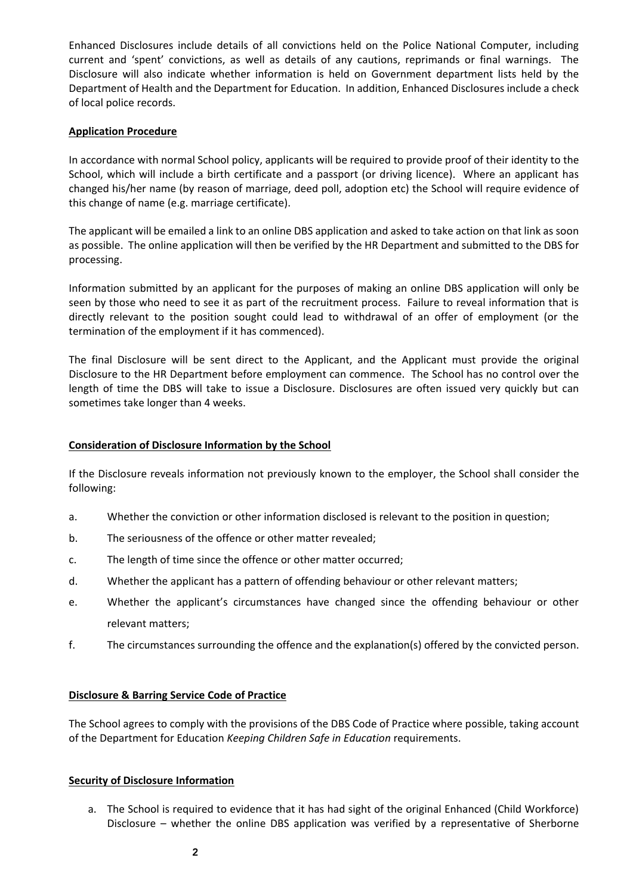Enhanced Disclosures include details of all convictions held on the Police National Computer, including current and 'spent' convictions, as well as details of any cautions, reprimands or final warnings. The Disclosure will also indicate whether information is held on Government department lists held by the Department of Health and the Department for Education. In addition, Enhanced Disclosures include a check of local police records.

#### **Application Procedure**

In accordance with normal School policy, applicants will be required to provide proof of their identity to the School, which will include a birth certificate and a passport (or driving licence). Where an applicant has changed his/her name (by reason of marriage, deed poll, adoption etc) the School will require evidence of this change of name (e.g. marriage certificate).

The applicant will be emailed a link to an online DBS application and asked to take action on that link as soon as possible. The online application will then be verified by the HR Department and submitted to the DBS for processing.

Information submitted by an applicant for the purposes of making an online DBS application will only be seen by those who need to see it as part of the recruitment process. Failure to reveal information that is directly relevant to the position sought could lead to withdrawal of an offer of employment (or the termination of the employment if it has commenced).

The final Disclosure will be sent direct to the Applicant, and the Applicant must provide the original Disclosure to the HR Department before employment can commence. The School has no control over the length of time the DBS will take to issue a Disclosure. Disclosures are often issued very quickly but can sometimes take longer than 4 weeks.

## **Consideration of Disclosure Information by the School**

If the Disclosure reveals information not previously known to the employer, the School shall consider the following:

- a. Whether the conviction or other information disclosed is relevant to the position in question;
- b. The seriousness of the offence or other matter revealed;
- c. The length of time since the offence or other matter occurred;
- d. Whether the applicant has a pattern of offending behaviour or other relevant matters;
- e. Whether the applicant's circumstances have changed since the offending behaviour or other relevant matters;
- f. The circumstances surrounding the offence and the explanation(s) offered by the convicted person.

#### **Disclosure & Barring Service Code of Practice**

The School agrees to comply with the provisions of the DBS Code of Practice where possible, taking account of the Department for Education *Keeping Children Safe in Education* requirements.

## **Security of Disclosure Information**

a. The School is required to evidence that it has had sight of the original Enhanced (Child Workforce) Disclosure – whether the online DBS application was verified by a representative of Sherborne